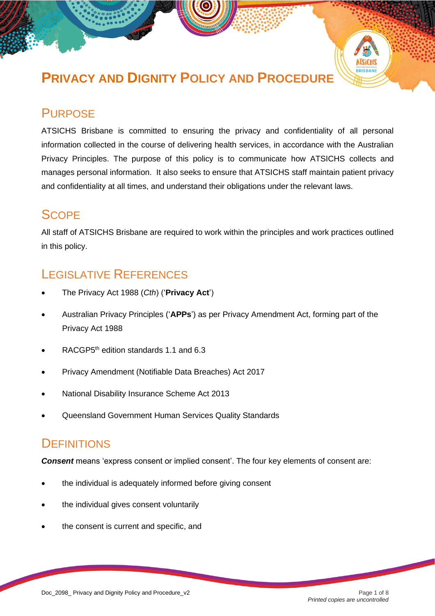# **PRIVACY AND DIGNITY POLICY AND PROCEDURE**

## **PURPOSE**

ATSICHS Brisbane is committed to ensuring the privacy and confidentiality of all personal information collected in the course of delivering health services, in accordance with the Australian Privacy Principles. The purpose of this policy is to communicate how ATSICHS collects and manages personal information. It also seeks to ensure that ATSICHS staff maintain patient privacy and confidentiality at all times, and understand their obligations under the relevant laws.

## **SCOPE**

All staff of ATSICHS Brisbane are required to work within the principles and work practices outlined in this policy.

## LEGISLATIVE REFERENCES

- The Privacy Act 1988 (*Cth*) ('**Privacy Act**')
- Australian Privacy Principles ('**APPs**') as per Privacy Amendment Act, forming part of the Privacy Act 1988
- RACGP5<sup>th</sup> edition standards 1.1 and 6.3
- Privacy Amendment (Notifiable Data Breaches) Act 2017
- National Disability Insurance Scheme Act 2013
- Queensland Government Human Services Quality Standards

## **DEFINITIONS**

*Consent* means 'express consent or implied consent'. The four key elements of consent are:

- the individual is adequately informed before giving consent
- the individual gives consent voluntarily
- the consent is current and specific, and

Doc\_2098\_ Privacy and Dignity Policy and Procedure\_v2 Page 1 of 8

*Printed copies are uncontrolled*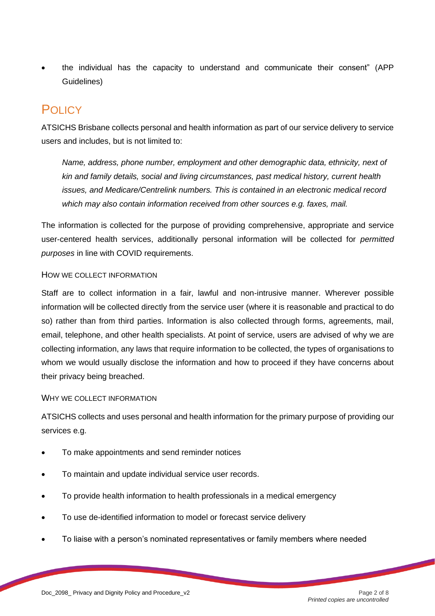• the individual has the capacity to understand and communicate their consent" (APP Guidelines)

## POLICY

ATSICHS Brisbane collects personal and health information as part of our service delivery to service users and includes, but is not limited to:

*Name, address, phone number, employment and other demographic data, ethnicity, next of kin and family details, social and living circumstances, past medical history, current health issues, and Medicare/Centrelink numbers. This is contained in an electronic medical record which may also contain information received from other sources e.g. faxes, mail.*

The information is collected for the purpose of providing comprehensive, appropriate and service user-centered health services, additionally personal information will be collected for *permitted purposes* in line with COVID requirements.

## HOW WE COLLECT INFORMATION

Staff are to collect information in a fair, lawful and non-intrusive manner. Wherever possible information will be collected directly from the service user (where it is reasonable and practical to do so) rather than from third parties. Information is also collected through forms, agreements, mail, email, telephone, and other health specialists. At point of service, users are advised of why we are collecting information, any laws that require information to be collected, the types of organisations to whom we would usually disclose the information and how to proceed if they have concerns about their privacy being breached.

## WHY WE COLLECT INFORMATION

ATSICHS collects and uses personal and health information for the primary purpose of providing our services e.g.

- To make appointments and send reminder notices
- To maintain and update individual service user records.
- To provide health information to health professionals in a medical emergency
- To use de-identified information to model or forecast service delivery
- To liaise with a person's nominated representatives or family members where needed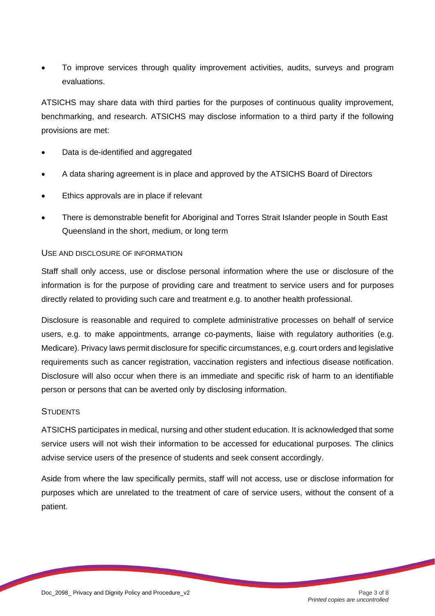• To improve services through quality improvement activities, audits, surveys and program evaluations.

ATSICHS may share data with third parties for the purposes of continuous quality improvement, benchmarking, and research. ATSICHS may disclose information to a third party if the following provisions are met:

- Data is de-identified and aggregated
- A data sharing agreement is in place and approved by the ATSICHS Board of Directors
- Ethics approvals are in place if relevant
- There is demonstrable benefit for Aboriginal and Torres Strait Islander people in South East Queensland in the short, medium, or long term

## USE AND DISCLOSURE OF INFORMATION

Staff shall only access, use or disclose personal information where the use or disclosure of the information is for the purpose of providing care and treatment to service users and for purposes directly related to providing such care and treatment e.g. to another health professional.

Disclosure is reasonable and required to complete administrative processes on behalf of service users, e.g. to make appointments, arrange co-payments, liaise with regulatory authorities (e.g. Medicare). Privacy laws permit disclosure for specific circumstances, e.g. court orders and legislative requirements such as cancer registration, vaccination registers and infectious disease notification. Disclosure will also occur when there is an immediate and specific risk of harm to an identifiable person or persons that can be averted only by disclosing information.

## **STUDENTS**

ATSICHS participates in medical, nursing and other student education. It is acknowledged that some service users will not wish their information to be accessed for educational purposes. The clinics advise service users of the presence of students and seek consent accordingly.

Aside from where the law specifically permits, staff will not access, use or disclose information for purposes which are unrelated to the treatment of care of service users, without the consent of a patient.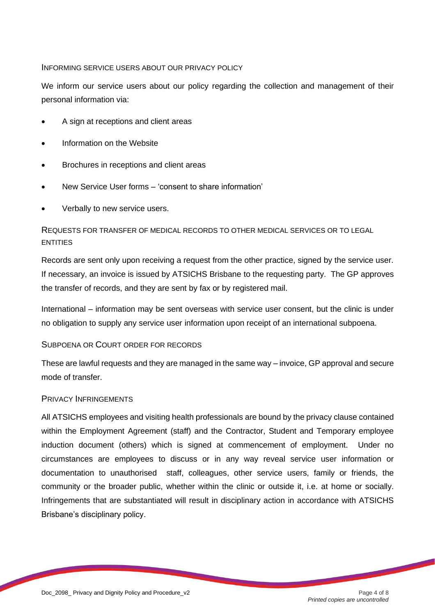#### INFORMING SERVICE USERS ABOUT OUR PRIVACY POLICY

We inform our service users about our policy regarding the collection and management of their personal information via:

- A sign at receptions and client areas
- Information on the Website
- Brochures in receptions and client areas
- New Service User forms 'consent to share information'
- Verbally to new service users.

## REQUESTS FOR TRANSFER OF MEDICAL RECORDS TO OTHER MEDICAL SERVICES OR TO LEGAL ENTITIES

Records are sent only upon receiving a request from the other practice, signed by the service user. If necessary, an invoice is issued by ATSICHS Brisbane to the requesting party. The GP approves the transfer of records, and they are sent by fax or by registered mail.

International – information may be sent overseas with service user consent, but the clinic is under no obligation to supply any service user information upon receipt of an international subpoena.

## SUBPOENA OR COURT ORDER FOR RECORDS

These are lawful requests and they are managed in the same way – invoice, GP approval and secure mode of transfer.

## PRIVACY INFRINGEMENTS

All ATSICHS employees and visiting health professionals are bound by the privacy clause contained within the Employment Agreement (staff) and the Contractor, Student and Temporary employee induction document (others) which is signed at commencement of employment. Under no circumstances are employees to discuss or in any way reveal service user information or documentation to unauthorised staff, colleagues, other service users, family or friends, the community or the broader public, whether within the clinic or outside it, i.e. at home or socially. Infringements that are substantiated will result in disciplinary action in accordance with ATSICHS Brisbane's disciplinary policy.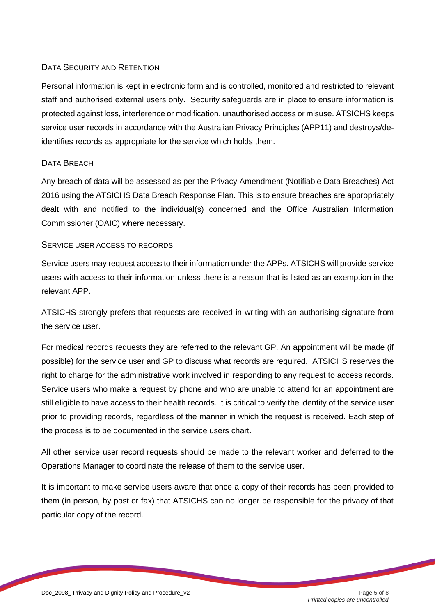## DATA SECURITY AND RETENTION

Personal information is kept in electronic form and is controlled, monitored and restricted to relevant staff and authorised external users only. Security safeguards are in place to ensure information is protected against loss, interference or modification, unauthorised access or misuse. ATSICHS keeps service user records in accordance with the Australian Privacy Principles (APP11) and destroys/deidentifies records as appropriate for the service which holds them.

## DATA BREACH

Any breach of data will be assessed as per the Privacy Amendment (Notifiable Data Breaches) Act 2016 using the ATSICHS Data Breach Response Plan. This is to ensure breaches are appropriately dealt with and notified to the individual(s) concerned and the Office Australian Information Commissioner (OAIC) where necessary.

#### SERVICE USER ACCESS TO RECORDS

Service users may request access to their information under the APPs. ATSICHS will provide service users with access to their information unless there is a reason that is listed as an exemption in the relevant APP.

ATSICHS strongly prefers that requests are received in writing with an authorising signature from the service user.

For medical records requests they are referred to the relevant GP. An appointment will be made (if possible) for the service user and GP to discuss what records are required. ATSICHS reserves the right to charge for the administrative work involved in responding to any request to access records. Service users who make a request by phone and who are unable to attend for an appointment are still eligible to have access to their health records. It is critical to verify the identity of the service user prior to providing records, regardless of the manner in which the request is received. Each step of the process is to be documented in the service users chart.

All other service user record requests should be made to the relevant worker and deferred to the Operations Manager to coordinate the release of them to the service user.

It is important to make service users aware that once a copy of their records has been provided to them (in person, by post or fax) that ATSICHS can no longer be responsible for the privacy of that particular copy of the record.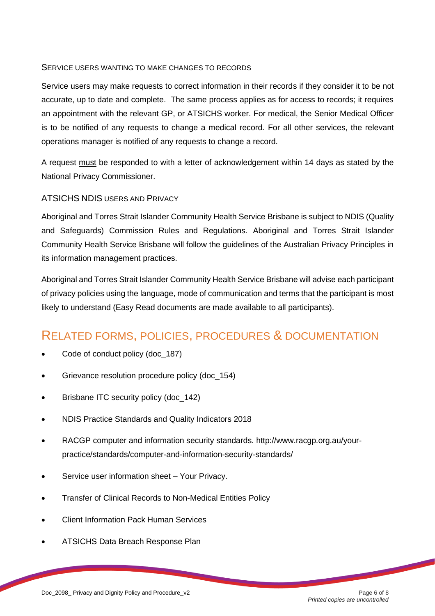## SERVICE USERS WANTING TO MAKE CHANGES TO RECORDS

Service users may make requests to correct information in their records if they consider it to be not accurate, up to date and complete. The same process applies as for access to records; it requires an appointment with the relevant GP, or ATSICHS worker. For medical, the Senior Medical Officer is to be notified of any requests to change a medical record. For all other services, the relevant operations manager is notified of any requests to change a record.

A request must be responded to with a letter of acknowledgement within 14 days as stated by the National Privacy Commissioner.

## ATSICHS NDIS USERS AND PRIVACY

Aboriginal and Torres Strait Islander Community Health Service Brisbane is subject to NDIS (Quality and Safeguards) Commission Rules and Regulations. Aboriginal and Torres Strait Islander Community Health Service Brisbane will follow the guidelines of the Australian Privacy Principles in its information management practices.

Aboriginal and Torres Strait Islander Community Health Service Brisbane will advise each participant of privacy policies using the language, mode of communication and terms that the participant is most likely to understand (Easy Read documents are made available to all participants).

## RELATED FORMS, POLICIES, PROCEDURES & DOCUMENTATION

- Code of conduct policy (doc\_187)
- Grievance resolution procedure policy (doc\_154)
- Brisbane ITC security policy (doc 142)
- NDIS Practice Standards and Quality Indicators 2018
- RACGP computer and information security standards. http://www.racgp.org.au/yourpractice/standards/computer-and-information-security-standards/
- Service user information sheet Your Privacy.
- Transfer of Clinical Records to Non-Medical Entities Policy
- Client Information Pack Human Services
- ATSICHS Data Breach Response Plan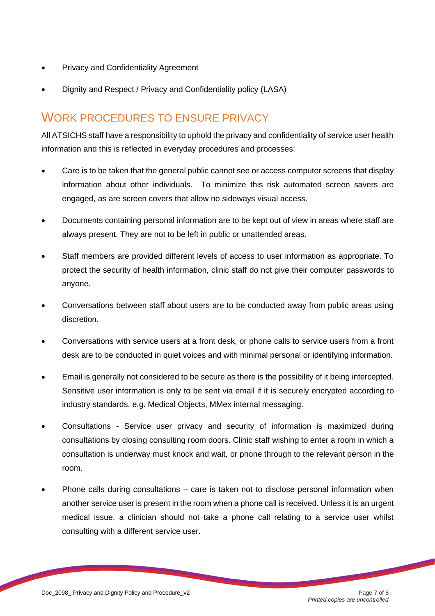- Privacy and Confidentiality Agreement
- Dignity and Respect / Privacy and Confidentiality policy (LASA)

## WORK PROCEDURES TO ENSURE PRIVACY

All ATSICHS staff have a responsibility to uphold the privacy and confidentiality of service user health information and this is reflected in everyday procedures and processes:

- Care is to be taken that the general public cannot see or access computer screens that display information about other individuals. To minimize this risk automated screen savers are engaged, as are screen covers that allow no sideways visual access.
- Documents containing personal information are to be kept out of view in areas where staff are always present. They are not to be left in public or unattended areas.
- Staff members are provided different levels of access to user information as appropriate. To protect the security of health information, clinic staff do not give their computer passwords to anyone.
- Conversations between staff about users are to be conducted away from public areas using discretion.
- Conversations with service users at a front desk, or phone calls to service users from a front desk are to be conducted in quiet voices and with minimal personal or identifying information.
- Email is generally not considered to be secure as there is the possibility of it being intercepted. Sensitive user information is only to be sent via email if it is securely encrypted according to industry standards, e.g. Medical Objects, MMex internal messaging.
- Consultations Service user privacy and security of information is maximized during consultations by closing consulting room doors. Clinic staff wishing to enter a room in which a consultation is underway must knock and wait, or phone through to the relevant person in the room.
- Phone calls during consultations care is taken not to disclose personal information when another service user is present in the room when a phone call is received. Unless it is an urgent medical issue, a clinician should not take a phone call relating to a service user whilst consulting with a different service user.